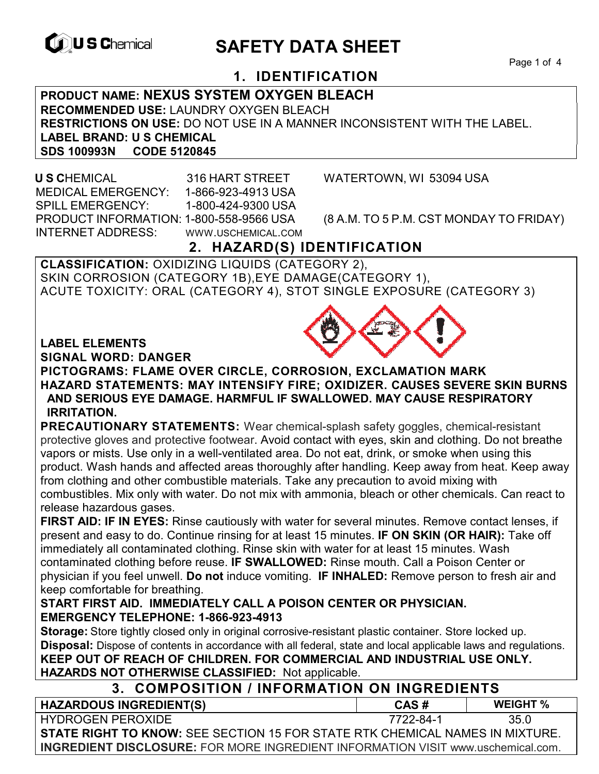

# **EXAGREM** SAFETY DATA SHEET

Page 1 of 4

# **1. IDENTIFICATION**

**PRODUCT NAME: NEXUS SYSTEM OXYGEN BLEACH RECOMMENDED USE:** LAUNDRY OXYGEN BLEACH **RESTRICTIONS ON USE:** DO NOT USE IN A MANNER INCONSISTENT WITH THE LABEL. **LABEL BRAND: U S CHEMICAL SDS 100993N CODE 5120845** 

 **U S C**HEMICAL 316 HART STREET WATERTOWN, WI 53094 USA MEDICAL EMERGENCY: 1-866-923-4913 USA SPILL EMERGENCY: 1-800-424-9300 USA PRODUCT INFORMATION: 1-800-558-9566 USA (8 A.M. TO 5 P.M. CST MONDAY TO FRIDAY) INTERNET ADDRESS: WWW.USCHEMICAL.COM

# **2. HAZARD(S) IDENTIFICATION**

**CLASSIFICATION:** OXIDIZING LIQUIDS (CATEGORY 2), SKIN CORROSION (CATEGORY 1B),EYE DAMAGE(CATEGORY 1), ACUTE TOXICITY: ORAL (CATEGORY 4), STOT SINGLE EXPOSURE (CATEGORY 3)

#### **LABEL ELEMENTS**

**SIGNAL WORD: DANGER**

**PICTOGRAMS: FLAME OVER CIRCLE, CORROSION, EXCLAMATION MARK HAZARD STATEMENTS: MAY INTENSIFY FIRE; OXIDIZER. CAUSES SEVERE SKIN BURNS AND SERIOUS EYE DAMAGE. HARMFUL IF SWALLOWED. MAY CAUSE RESPIRATORY IRRITATION.** 

**PRECAUTIONARY STATEMENTS:** Wear chemical-splash safety goggles, chemical-resistant protective gloves and protective footwear. Avoid contact with eyes, skin and clothing. Do not breathe vapors or mists. Use only in a well-ventilated area. Do not eat, drink, or smoke when using this product. Wash hands and affected areas thoroughly after handling. Keep away from heat. Keep away from clothing and other combustible materials. Take any precaution to avoid mixing with combustibles. Mix only with water. Do not mix with ammonia, bleach or other chemicals. Can react to release hazardous gases.

**FIRST AID: IF IN EYES:** Rinse cautiously with water for several minutes. Remove contact lenses, if present and easy to do. Continue rinsing for at least 15 minutes. **IF ON SKIN (OR HAIR):** Take off immediately all contaminated clothing. Rinse skin with water for at least 15 minutes. Wash contaminated clothing before reuse. **IF SWALLOWED:** Rinse mouth. Call a Poison Center or physician if you feel unwell. **Do not** induce vomiting. **IF INHALED:** Remove person to fresh air and keep comfortable for breathing.

#### **START FIRST AID. IMMEDIATELY CALL A POISON CENTER OR PHYSICIAN. EMERGENCY TELEPHONE: 1-866-923-4913**

**Storage:** Store tightly closed only in original corrosive-resistant plastic container. Store locked up. **Disposal:** Dispose of contents in accordance with all federal, state and local applicable laws and regulations. **KEEP OUT OF REACH OF CHILDREN. FOR COMMERCIAL AND INDUSTRIAL USE ONLY. HAZARDS NOT OTHERWISE CLASSIFIED:** Not applicable.

| 3. COMPOSITION / INFORMATION ON INGREDIENTS                                             |           |                 |  |
|-----------------------------------------------------------------------------------------|-----------|-----------------|--|
| <b>HAZARDOUS INGREDIENT(S)</b>                                                          | CAS#      | <b>WEIGHT</b> % |  |
| HYDROGEN PEROXIDE                                                                       | 7722-84-1 | 35 O            |  |
| <b>STATE RIGHT TO KNOW:</b> SEE SECTION 15 FOR STATE RTK CHEMICAL NAMES IN MIXTURE.     |           |                 |  |
| <b>INGREDIENT DISCLOSURE:</b> FOR MORE INGREDIENT INFORMATION VISIT www.uschemical.com. |           |                 |  |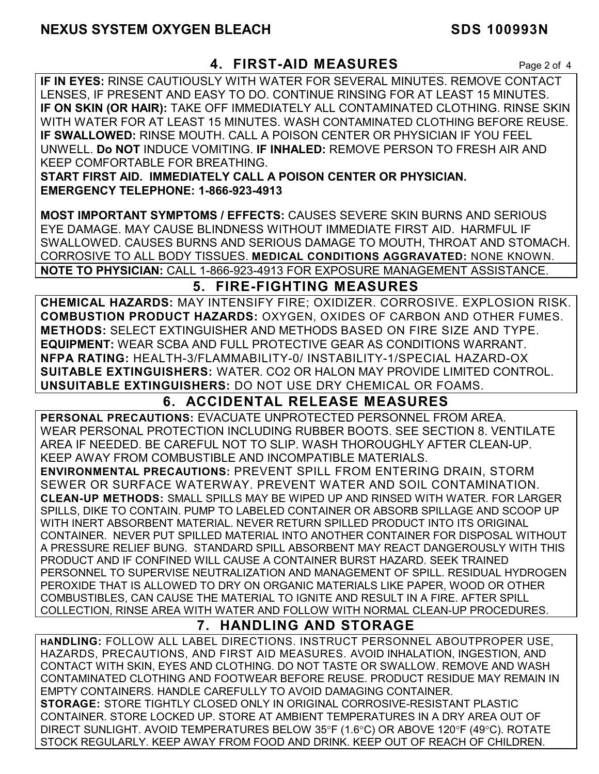# **4. FIRST-AID MEASURES** Page 2 of 4

**IF IN EYES:** RINSE CAUTIOUSLY WITH WATER FOR SEVERAL MINUTES. REMOVE CONTACT LENSES, IF PRESENT AND EASY TO DO. CONTINUE RINSING FOR AT LEAST 15 MINUTES. **IF ON SKIN (OR HAIR):** TAKE OFF IMMEDIATELY ALL CONTAMINATED CLOTHING. RINSE SKIN WITH WATER FOR AT LEAST 15 MINUTES. WASH CONTAMINATED CLOTHING BEFORE REUSE. **IF SWALLOWED:** RINSE MOUTH. CALL A POISON CENTER OR PHYSICIAN IF YOU FEEL UNWELL. **Do NOT** INDUCE VOMITING. **IF INHALED:** REMOVE PERSON TO FRESH AIR AND KEEP COMFORTABLE FOR BREATHING.

**START FIRST AID. IMMEDIATELY CALL A POISON CENTER OR PHYSICIAN. EMERGENCY TELEPHONE: 1-866-923-4913** 

**MOST IMPORTANT SYMPTOMS / EFFECTS:** CAUSES SEVERE SKIN BURNS AND SERIOUS EYE DAMAGE. MAY CAUSE BLINDNESS WITHOUT IMMEDIATE FIRST AID. HARMFUL IF SWALLOWED. CAUSES BURNS AND SERIOUS DAMAGE TO MOUTH, THROAT AND STOMACH. CORROSIVE TO ALL BODY TISSUES. **MEDICAL CONDITIONS AGGRAVATED:** NONE KNOWN. **NOTE TO PHYSICIAN:** CALL 1-866-923-4913 FOR EXPOSURE MANAGEMENT ASSISTANCE.

# **5. FIRE-FIGHTING MEASURES**

**CHEMICAL HAZARDS:** MAY INTENSIFY FIRE; OXIDIZER. CORROSIVE. EXPLOSION RISK. **COMBUSTION PRODUCT HAZARDS:** OXYGEN, OXIDES OF CARBON AND OTHER FUMES. **METHODS:** SELECT EXTINGUISHER AND METHODS BASED ON FIRE SIZE AND TYPE. **EQUIPMENT:** WEAR SCBA AND FULL PROTECTIVE GEAR AS CONDITIONS WARRANT. **NFPA RATING:** HEALTH-3/FLAMMABILITY-0/ INSTABILITY-1/SPECIAL HAZARD-OX **SUITABLE EXTINGUISHERS:** WATER. CO2 OR HALON MAY PROVIDE LIMITED CONTROL. **UNSUITABLE EXTINGUISHERS:** DO NOT USE DRY CHEMICAL OR FOAMS.

# **6. ACCIDENTAL RELEASE MEASURES**

**PERSONAL PRECAUTIONS:** EVACUATE UNPROTECTED PERSONNEL FROM AREA. WEAR PERSONAL PROTECTION INCLUDING RUBBER BOOTS. SEE SECTION 8. VENTILATE AREA IF NEEDED. BE CAREFUL NOT TO SLIP. WASH THOROUGHLY AFTER CLEAN-UP. KEEP AWAY FROM COMBUSTIBLE AND INCOMPATIBLE MATERIALS.

**ENVIRONMENTAL PRECAUTIONS:** PREVENT SPILL FROM ENTERING DRAIN, STORM SEWER OR SURFACE WATERWAY. PREVENT WATER AND SOIL CONTAMINATION. **CLEAN-UP METHODS:** SMALL SPILLS MAY BE WIPED UP AND RINSED WITH WATER. FOR LARGER SPILLS, DIKE TO CONTAIN. PUMP TO LABELED CONTAINER OR ABSORB SPILLAGE AND SCOOP UP WITH INERT ABSORBENT MATERIAL. NEVER RETURN SPILLED PRODUCT INTO ITS ORIGINAL CONTAINER. NEVER PUT SPILLED MATERIAL INTO ANOTHER CONTAINER FOR DISPOSAL WITHOUT A PRESSURE RELIEF BUNG. STANDARD SPILL ABSORBENT MAY REACT DANGEROUSLY WITH THIS PRODUCT AND IF CONFINED WILL CAUSE A CONTAINER BURST HAZARD. SEEK TRAINED PERSONNEL TO SUPERVISE NEUTRALIZATION AND MANAGEMENT OF SPILL. RESIDUAL HYDROGEN PEROXIDE THAT IS ALLOWED TO DRY ON ORGANIC MATERIALS LIKE PAPER, WOOD OR OTHER COMBUSTIBLES, CAN CAUSE THE MATERIAL TO IGNITE AND RESULT IN A FIRE. AFTER SPILL COLLECTION, RINSE AREA WITH WATER AND FOLLOW WITH NORMAL CLEAN-UP PROCEDURES.

# **7. HANDLING AND STORAGE**

**HANDLING:** FOLLOW ALL LABEL DIRECTIONS. INSTRUCT PERSONNEL ABOUTPROPER USE, HAZARDS, PRECAUTIONS, AND FIRST AID MEASURES. AVOID INHALATION, INGESTION, AND CONTACT WITH SKIN, EYES AND CLOTHING. DO NOT TASTE OR SWALLOW. REMOVE AND WASH CONTAMINATED CLOTHING AND FOOTWEAR BEFORE REUSE. PRODUCT RESIDUE MAY REMAIN IN EMPTY CONTAINERS. HANDLE CAREFULLY TO AVOID DAMAGING CONTAINER. **STORAGE:** STORE TIGHTLY CLOSED ONLY IN ORIGINAL CORROSIVE-RESISTANT PLASTIC CONTAINER. STORE LOCKED UP. STORE AT AMBIENT TEMPERATURES IN A DRY AREA OUT OF DIRECT SUNLIGHT. AVOID TEMPERATURES BELOW  $35^{\circ}F$  (1.6°C) OR ABOVE 120°F (49°C). ROTATE STOCK REGULARLY. KEEP AWAY FROM FOOD AND DRINK. KEEP OUT OF REACH OF CHILDREN.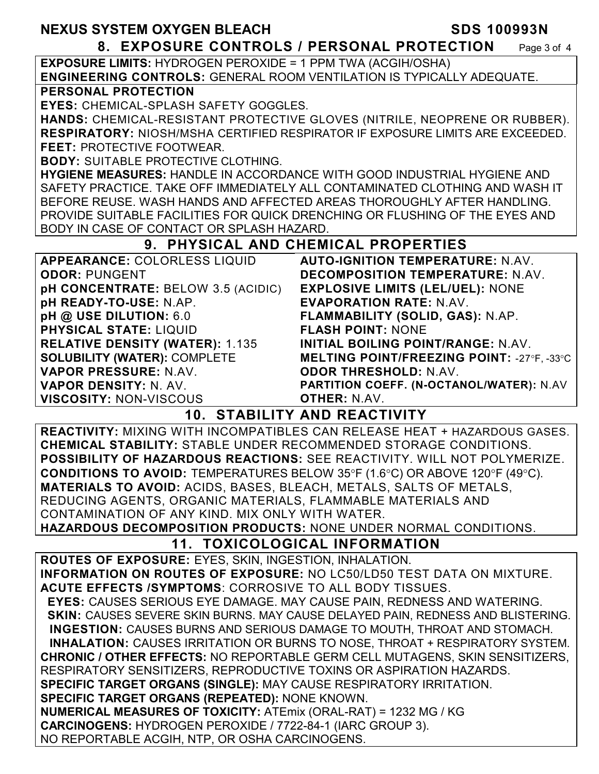# **8. EXPOSURE CONTROLS / PERSONAL PROTECTION** Page 3 of 4

**EXPOSURE LIMITS:** HYDROGEN PEROXIDE = 1 PPM TWA (ACGIH/OSHA) **ENGINEERING CONTROLS:** GENERAL ROOM VENTILATION IS TYPICALLY ADEQUATE.

### **PERSONAL PROTECTION**

**EYES:** CHEMICAL-SPLASH SAFETY GOGGLES.

**HANDS:** CHEMICAL-RESISTANT PROTECTIVE GLOVES (NITRILE, NEOPRENE OR RUBBER). **RESPIRATORY:** NIOSH/MSHA CERTIFIED RESPIRATOR IF EXPOSURE LIMITS ARE EXCEEDED. **FEET:** PROTECTIVE FOOTWEAR.

**BODY:** SUITABLE PROTECTIVE CLOTHING.

**HYGIENE MEASURES:** HANDLE IN ACCORDANCE WITH GOOD INDUSTRIAL HYGIENE AND SAFETY PRACTICE. TAKE OFF IMMEDIATELY ALL CONTAMINATED CLOTHING AND WASH IT BEFORE REUSE. WASH HANDS AND AFFECTED AREAS THOROUGHLY AFTER HANDLING. PROVIDE SUITABLE FACILITIES FOR QUICK DRENCHING OR FLUSHING OF THE EYES AND BODY IN CASE OF CONTACT OR SPLASH HAZARD.

# **9. PHYSICAL AND CHEMICAL PROPERTIES**

| <b>APPEARANCE: COLORLESS LIQUID</b>    | <b>AUTO-IGNITION TEMPERATURE: N.AV.</b>           |
|----------------------------------------|---------------------------------------------------|
| <b>ODOR: PUNGENT</b>                   | DECOMPOSITION TEMPERATURE: N.AV.                  |
| pH CONCENTRATE: BELOW 3.5 (ACIDIC)     | <b>EXPLOSIVE LIMITS (LEL/UEL): NONE</b>           |
| pH READY-TO-USE: N.AP.                 | <b>EVAPORATION RATE: N.AV.</b>                    |
| pH @ USE DILUTION: 6.0                 | FLAMMABILITY (SOLID, GAS): N.AP.                  |
| <b>PHYSICAL STATE: LIQUID</b>          | <b>FLASH POINT: NONE</b>                          |
| <b>RELATIVE DENSITY (WATER): 1.135</b> | INITIAL BOILING POINT/RANGE: N.AV.                |
| <b>SOLUBILITY (WATER): COMPLETE</b>    | <b>MELTING POINT/FREEZING POINT: -27°F, -33°C</b> |
| VAPOR PRESSURE: N.AV.                  | <b>ODOR THRESHOLD: N.AV.</b>                      |
| VAPOR DENSITY: N. AV.                  | PARTITION COEFF. (N-OCTANOL/WATER): N.AV          |
| <b>VISCOSITY: NON-VISCOUS</b>          | <b>OTHER: N.AV.</b>                               |

# **10. STABILITY AND REACTIVITY**

**REACTIVITY:** MIXING WITH INCOMPATIBLES CAN RELEASE HEAT + HAZARDOUS GASES. **CHEMICAL STABILITY:** STABLE UNDER RECOMMENDED STORAGE CONDITIONS. **POSSIBILITY OF HAZARDOUS REACTIONS:** SEE REACTIVITY. WILL NOT POLYMERIZE. **CONDITIONS TO AVOID:** TEMPERATURES BELOW 35°F (1.6°C) OR ABOVE 120°F (49°C). **MATERIALS TO AVOID:** ACIDS, BASES, BLEACH, METALS, SALTS OF METALS, REDUCING AGENTS, ORGANIC MATERIALS, FLAMMABLE MATERIALS AND CONTAMINATION OF ANY KIND. MIX ONLY WITH WATER.

**HAZARDOUS DECOMPOSITION PRODUCTS:** NONE UNDER NORMAL CONDITIONS.

# **11. TOXICOLOGICAL INFORMATION**

**ROUTES OF EXPOSURE:** EYES, SKIN, INGESTION, INHALATION. **INFORMATION ON ROUTES OF EXPOSURE:** NO LC50/LD50 TEST DATA ON MIXTURE. **ACUTE EFFECTS /SYMPTOMS**: CORROSIVE TO ALL BODY TISSUES.

 **EYES:** CAUSES SERIOUS EYE DAMAGE. MAY CAUSE PAIN, REDNESS AND WATERING. **SKIN: CAUSES SEVERE SKIN BURNS. MAY CAUSE DELAYED PAIN, REDNESS AND BLISTERING. INGESTION:** CAUSES BURNS AND SERIOUS DAMAGE TO MOUTH, THROAT AND STOMACH. **INHALATION:** CAUSES IRRITATION OR BURNS TO NOSE, THROAT + RESPIRATORY SYSTEM. **CHRONIC / OTHER EFFECTS:** NO REPORTABLE GERM CELL MUTAGENS, SKIN SENSITIZERS, RESPIRATORY SENSITIZERS, REPRODUCTIVE TOXINS OR ASPIRATION HAZARDS. **SPECIFIC TARGET ORGANS (SINGLE):** MAY CAUSE RESPIRATORY IRRITATION. **SPECIFIC TARGET ORGANS (REPEATED):** NONE KNOWN. **NUMERICAL MEASURES OF TOXICITY:** ATEmix (ORAL-RAT) = 1232 MG / KG **CARCINOGENS:** HYDROGEN PEROXIDE / 7722-84-1 (IARC GROUP 3).

NO REPORTABLE ACGIH, NTP, OR OSHA CARCINOGENS.